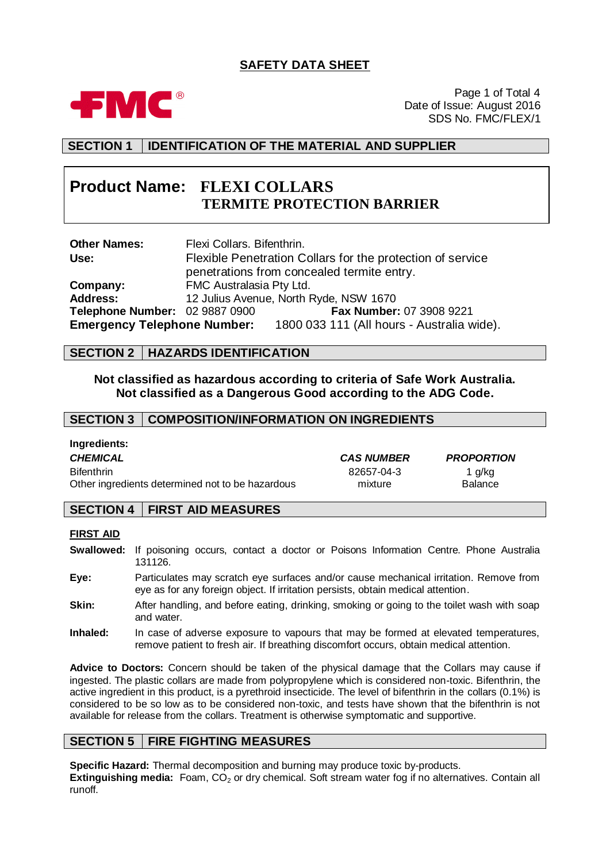# **SAFETY DATA SHEET**



Page 1 of Total 4 Date of Issue: August 2016 SDS No. FMC/FLEX/1

## **SECTION 1 IDENTIFICATION OF THE MATERIAL AND SUPPLIER**

# **Product Name: FLEXI COLLARS TERMITE PROTECTION BARRIER**

| <b>Other Names:</b>            | Flexi Collars. Bifenthrin. |                                                                               |
|--------------------------------|----------------------------|-------------------------------------------------------------------------------|
| Use:                           |                            | Flexible Penetration Collars for the protection of service                    |
|                                |                            | penetrations from concealed termite entry.                                    |
| Company:                       | FMC Australasia Pty Ltd.   |                                                                               |
| <b>Address:</b>                |                            | 12 Julius Avenue, North Ryde, NSW 1670                                        |
| Telephone Number: 02 9887 0900 |                            | Fax Number: 07 3908 9221                                                      |
|                                |                            | <b>Emergency Telephone Number:</b> 1800 033 111 (All hours - Australia wide). |

### **SECTION 2 HAZARDS IDENTIFICATION**

### **Not classified as hazardous according to criteria of Safe Work Australia. Not classified as a Dangerous Good according to the ADG Code.**

### **SECTION 3 COMPOSITION/INFORMATION ON INGREDIENTS**

| Ingredients:                                     |                   |                   |
|--------------------------------------------------|-------------------|-------------------|
| <b>CHEMICAL</b>                                  | <b>CAS NUMBER</b> | <b>PROPORTION</b> |
| <b>Bifenthrin</b>                                | 82657-04-3        | 1 a/ka            |
| Other ingredients determined not to be hazardous | mixture           | <b>Balance</b>    |

### **SECTION 4 FIRST AID MEASURES**

### **FIRST AID**

- **Swallowed:** If poisoning occurs, contact a doctor or Poisons Information Centre. Phone Australia 131126.
- **Eye:** Particulates may scratch eye surfaces and/or cause mechanical irritation. Remove from eye as for any foreign object. If irritation persists, obtain medical attention.
- **Skin:** After handling, and before eating, drinking, smoking or going to the toilet wash with soap and water.
- **Inhaled:** In case of adverse exposure to vapours that may be formed at elevated temperatures, remove patient to fresh air. If breathing discomfort occurs, obtain medical attention.

**Advice to Doctors:** Concern should be taken of the physical damage that the Collars may cause if ingested. The plastic collars are made from polypropylene which is considered non-toxic. Bifenthrin, the active ingredient in this product, is a pyrethroid insecticide. The level of bifenthrin in the collars (0.1%) is considered to be so low as to be considered non-toxic, and tests have shown that the bifenthrin is not available for release from the collars. Treatment is otherwise symptomatic and supportive.

### **SECTION 5 FIRE FIGHTING MEASURES**

**Specific Hazard:** Thermal decomposition and burning may produce toxic by-products. **Extinguishing media:** Foam, CO<sub>2</sub> or dry chemical. Soft stream water fog if no alternatives. Contain all runoff.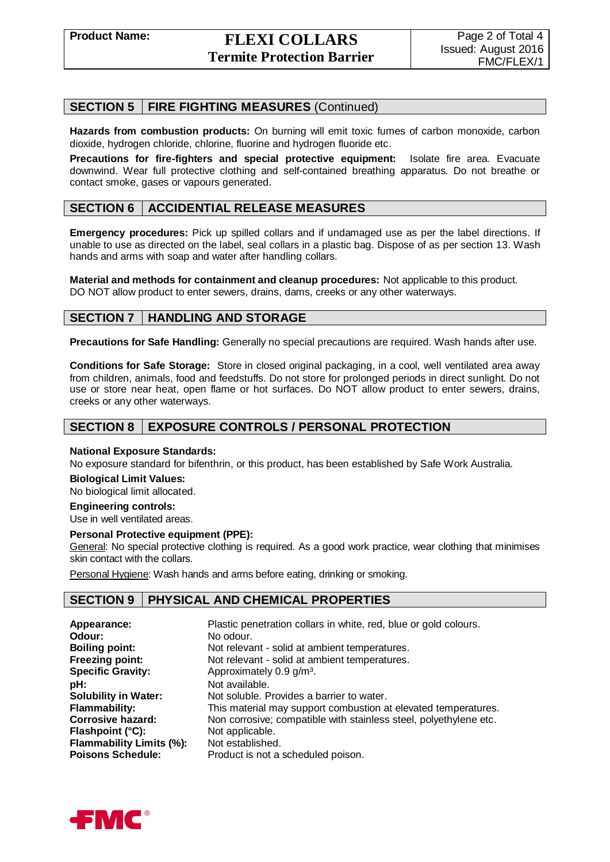### **SECTION 5 FIRE FIGHTING MEASURES** (Continued)

**Hazards from combustion products:** On burning will emit toxic fumes of carbon monoxide, carbon dioxide, hydrogen chloride, chlorine, fluorine and hydrogen fluoride etc.

**Precautions for fire-fighters and special protective equipment:** Isolate fire area. Evacuate downwind. Wear full protective clothing and self-contained breathing apparatus. Do not breathe or contact smoke, gases or vapours generated.

### **SECTION 6 ACCIDENTIAL RELEASE MEASURES**

**Emergency procedures:** Pick up spilled collars and if undamaged use as per the label directions. If unable to use as directed on the label, seal collars in a plastic bag. Dispose of as per section 13. Wash hands and arms with soap and water after handling collars.

**Material and methods for containment and cleanup procedures:** Not applicable to this product. DO NOT allow product to enter sewers, drains, dams, creeks or any other waterways.

# **SECTION 7 HANDLING AND STORAGE**

**Precautions for Safe Handling:** Generally no special precautions are required. Wash hands after use.

**Conditions for Safe Storage:** Store in closed original packaging, in a cool, well ventilated area away from children, animals, food and feedstuffs. Do not store for prolonged periods in direct sunlight. Do not use or store near heat, open flame or hot surfaces. Do NOT allow product to enter sewers, drains, creeks or any other waterways.

## **SECTION 8 EXPOSURE CONTROLS / PERSONAL PROTECTION**

### **National Exposure Standards:**

No exposure standard for bifenthrin, or this product, has been established by Safe Work Australia.

#### **Biological Limit Values:**

No biological limit allocated.

### **Engineering controls:**

Use in well ventilated areas.

### **Personal Protective equipment (PPE):**

General: No special protective clothing is required. As a good work practice, wear clothing that minimises skin contact with the collars.

Personal Hygiene: Wash hands and arms before eating, drinking or smoking.

### **SECTION 9 PHYSICAL AND CHEMICAL PROPERTIES**

| Appearance:                     | Plastic penetration collars in white, red, blue or gold colours.  |
|---------------------------------|-------------------------------------------------------------------|
| Odour:                          | No odour.                                                         |
| <b>Boiling point:</b>           | Not relevant - solid at ambient temperatures.                     |
| Freezing point:                 | Not relevant - solid at ambient temperatures.                     |
| <b>Specific Gravity:</b>        | Approximately 0.9 g/m <sup>3</sup> .                              |
| pH:                             | Not available.                                                    |
| <b>Solubility in Water:</b>     | Not soluble. Provides a barrier to water.                         |
| <b>Flammability:</b>            | This material may support combustion at elevated temperatures.    |
| <b>Corrosive hazard:</b>        | Non corrosive; compatible with stainless steel, polyethylene etc. |
| Flashpoint (°C):                | Not applicable.                                                   |
| <b>Flammability Limits (%):</b> | Not established.                                                  |
| <b>Poisons Schedule:</b>        | Product is not a scheduled poison.                                |

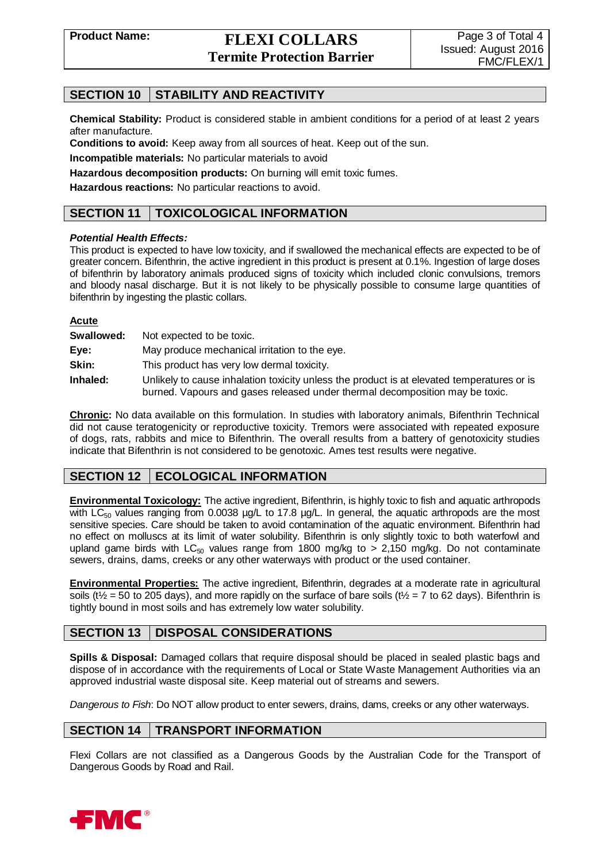# **SECTION 10 STABILITY AND REACTIVITY**

**Chemical Stability:** Product is considered stable in ambient conditions for a period of at least 2 years after manufacture.

**Conditions to avoid:** Keep away from all sources of heat. Keep out of the sun.

**Incompatible materials:** No particular materials to avoid

**Hazardous decomposition products:** On burning will emit toxic fumes.

**Hazardous reactions:** No particular reactions to avoid.

### **SECTION 11 TOXICOLOGICAL INFORMATION**

### *Potential Health Effects:*

This product is expected to have low toxicity, and if swallowed the mechanical effects are expected to be of greater concern. Bifenthrin, the active ingredient in this product is present at 0.1%. Ingestion of large doses of bifenthrin by laboratory animals produced signs of toxicity which included clonic convulsions, tremors and bloody nasal discharge. But it is not likely to be physically possible to consume large quantities of bifenthrin by ingesting the plastic collars.

| <b>Acute</b> |                                                                                                                                                                            |
|--------------|----------------------------------------------------------------------------------------------------------------------------------------------------------------------------|
| Swallowed:   | Not expected to be toxic.                                                                                                                                                  |
| Eye:         | May produce mechanical irritation to the eye.                                                                                                                              |
| Skin:        | This product has very low dermal toxicity.                                                                                                                                 |
| Inhaled:     | Unlikely to cause inhalation toxicity unless the product is at elevated temperatures or is<br>burned. Vapours and gases released under thermal decomposition may be toxic. |

**Chronic:** No data available on this formulation. In studies with laboratory animals, Bifenthrin Technical did not cause teratogenicity or reproductive toxicity. Tremors were associated with repeated exposure of dogs, rats, rabbits and mice to Bifenthrin. The overall results from a battery of genotoxicity studies indicate that Bifenthrin is not considered to be genotoxic. Ames test results were negative.

# **SECTION 12 ECOLOGICAL INFORMATION**

**Environmental Toxicology:** The active ingredient, Bifenthrin, is highly toxic to fish and aquatic arthropods with  $LC_{50}$  values ranging from 0.0038  $\mu$ g/L to 17.8  $\mu$ g/L. In general, the aquatic arthropods are the most sensitive species. Care should be taken to avoid contamination of the aquatic environment. Bifenthrin had no effect on molluscs at its limit of water solubility. Bifenthrin is only slightly toxic to both waterfowl and upland game birds with  $LC_{50}$  values range from 1800 mg/kg to > 2,150 mg/kg. Do not contaminate sewers, drains, dams, creeks or any other waterways with product or the used container.

**Environmental Properties:** The active ingredient, Bifenthrin, degrades at a moderate rate in agricultural soils (t<sup> $\frac{1}{2}$ </sup> = 50 to 205 days), and more rapidly on the surface of bare soils (t<sup> $\frac{1}{2}$ </sup> = 7 to 62 days). Bifenthrin is tightly bound in most soils and has extremely low water solubility.

# **SECTION 13 DISPOSAL CONSIDERATIONS**

**Spills & Disposal:** Damaged collars that require disposal should be placed in sealed plastic bags and dispose of in accordance with the requirements of Local or State Waste Management Authorities via an approved industrial waste disposal site. Keep material out of streams and sewers.

*Dangerous to Fish*: Do NOT allow product to enter sewers, drains, dams, creeks or any other waterways.

### **SECTION 14 TRANSPORT INFORMATION**

Flexi Collars are not classified as a Dangerous Goods by the Australian Code for the Transport of Dangerous Goods by Road and Rail.